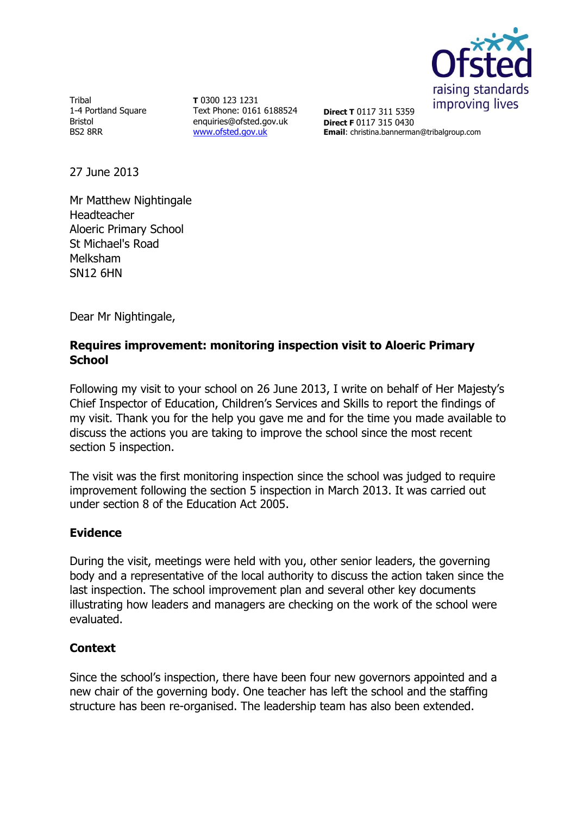

Tribal 1-4 Portland Square Bristol BS2 8RR

**T** 0300 123 1231 Text Phone: 0161 6188524 enquiries@ofsted.gov.uk [www.ofsted.gov.uk](http://www.ofsted.gov.uk/)

**Direct T** 0117 311 5359 **Direct F** 0117 315 0430 **Email**: christina.bannerman@tribalgroup.com

27 June 2013

Mr Matthew Nightingale Headteacher Aloeric Primary School St Michael's Road Melksham SN12 6HN

Dear Mr Nightingale,

## **Requires improvement: monitoring inspection visit to Aloeric Primary School**

Following my visit to your school on 26 June 2013, I write on behalf of Her Majesty's Chief Inspector of Education, Children's Services and Skills to report the findings of my visit. Thank you for the help you gave me and for the time you made available to discuss the actions you are taking to improve the school since the most recent section 5 inspection.

The visit was the first monitoring inspection since the school was judged to require improvement following the section 5 inspection in March 2013. It was carried out under section 8 of the Education Act 2005.

# **Evidence**

During the visit, meetings were held with you, other senior leaders, the governing body and a representative of the local authority to discuss the action taken since the last inspection. The school improvement plan and several other key documents illustrating how leaders and managers are checking on the work of the school were evaluated.

# **Context**

Since the school's inspection, there have been four new governors appointed and a new chair of the governing body. One teacher has left the school and the staffing structure has been re-organised. The leadership team has also been extended.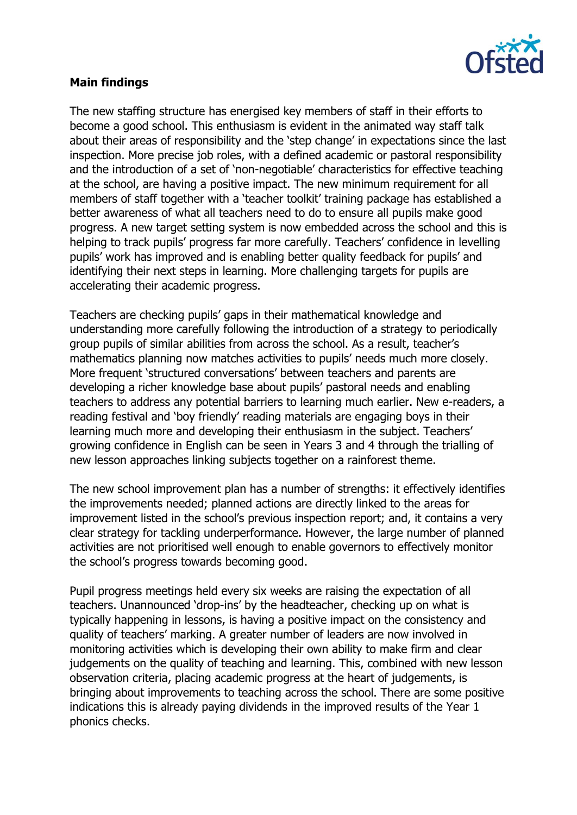

### **Main findings**

The new staffing structure has energised key members of staff in their efforts to become a good school. This enthusiasm is evident in the animated way staff talk about their areas of responsibility and the 'step change' in expectations since the last inspection. More precise job roles, with a defined academic or pastoral responsibility and the introduction of a set of 'non-negotiable' characteristics for effective teaching at the school, are having a positive impact. The new minimum requirement for all members of staff together with a 'teacher toolkit' training package has established a better awareness of what all teachers need to do to ensure all pupils make good progress. A new target setting system is now embedded across the school and this is helping to track pupils' progress far more carefully. Teachers' confidence in levelling pupils' work has improved and is enabling better quality feedback for pupils' and identifying their next steps in learning. More challenging targets for pupils are accelerating their academic progress.

Teachers are checking pupils' gaps in their mathematical knowledge and understanding more carefully following the introduction of a strategy to periodically group pupils of similar abilities from across the school. As a result, teacher's mathematics planning now matches activities to pupils' needs much more closely. More frequent 'structured conversations' between teachers and parents are developing a richer knowledge base about pupils' pastoral needs and enabling teachers to address any potential barriers to learning much earlier. New e-readers, a reading festival and 'boy friendly' reading materials are engaging boys in their learning much more and developing their enthusiasm in the subject. Teachers' growing confidence in English can be seen in Years 3 and 4 through the trialling of new lesson approaches linking subjects together on a rainforest theme.

The new school improvement plan has a number of strengths: it effectively identifies the improvements needed; planned actions are directly linked to the areas for improvement listed in the school's previous inspection report; and, it contains a very clear strategy for tackling underperformance. However, the large number of planned activities are not prioritised well enough to enable governors to effectively monitor the school's progress towards becoming good.

Pupil progress meetings held every six weeks are raising the expectation of all teachers. Unannounced 'drop-ins' by the headteacher, checking up on what is typically happening in lessons, is having a positive impact on the consistency and quality of teachers' marking. A greater number of leaders are now involved in monitoring activities which is developing their own ability to make firm and clear judgements on the quality of teaching and learning. This, combined with new lesson observation criteria, placing academic progress at the heart of judgements, is bringing about improvements to teaching across the school. There are some positive indications this is already paying dividends in the improved results of the Year 1 phonics checks.